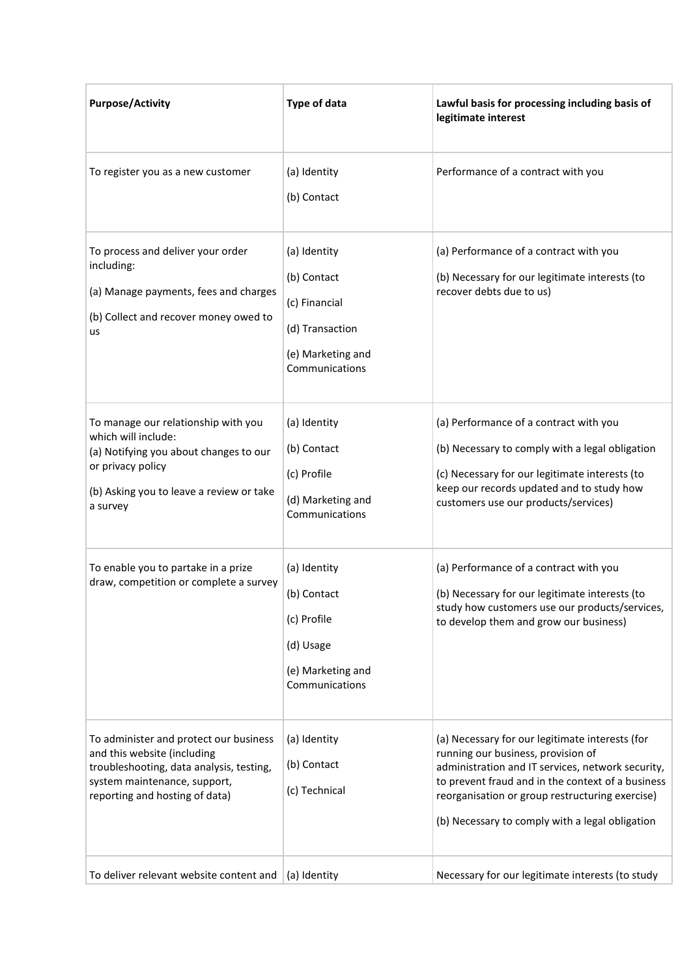| <b>Purpose/Activity</b>                                                                                                                                                             | <b>Type of data</b>                                                                                    | Lawful basis for processing including basis of<br>legitimate interest                                                                                                                                                                                                                                 |
|-------------------------------------------------------------------------------------------------------------------------------------------------------------------------------------|--------------------------------------------------------------------------------------------------------|-------------------------------------------------------------------------------------------------------------------------------------------------------------------------------------------------------------------------------------------------------------------------------------------------------|
| To register you as a new customer                                                                                                                                                   | (a) Identity<br>(b) Contact                                                                            | Performance of a contract with you                                                                                                                                                                                                                                                                    |
| To process and deliver your order<br>including:<br>(a) Manage payments, fees and charges<br>(b) Collect and recover money owed to<br>us                                             | (a) Identity<br>(b) Contact<br>(c) Financial<br>(d) Transaction<br>(e) Marketing and<br>Communications | (a) Performance of a contract with you<br>(b) Necessary for our legitimate interests (to<br>recover debts due to us)                                                                                                                                                                                  |
| To manage our relationship with you<br>which will include:<br>(a) Notifying you about changes to our<br>or privacy policy<br>(b) Asking you to leave a review or take<br>a survey   | (a) Identity<br>(b) Contact<br>(c) Profile<br>(d) Marketing and<br>Communications                      | (a) Performance of a contract with you<br>(b) Necessary to comply with a legal obligation<br>(c) Necessary for our legitimate interests (to<br>keep our records updated and to study how<br>customers use our products/services)                                                                      |
| To enable you to partake in a prize<br>draw, competition or complete a survey                                                                                                       | (a) Identity<br>(b) Contact<br>(c) Profile<br>(d) Usage<br>(e) Marketing and<br>Communications         | (a) Performance of a contract with you<br>(b) Necessary for our legitimate interests (to<br>study how customers use our products/services,<br>to develop them and grow our business)                                                                                                                  |
| To administer and protect our business<br>and this website (including<br>troubleshooting, data analysis, testing,<br>system maintenance, support,<br>reporting and hosting of data) | (a) Identity<br>(b) Contact<br>(c) Technical                                                           | (a) Necessary for our legitimate interests (for<br>running our business, provision of<br>administration and IT services, network security,<br>to prevent fraud and in the context of a business<br>reorganisation or group restructuring exercise)<br>(b) Necessary to comply with a legal obligation |
| To deliver relevant website content and                                                                                                                                             | (a) Identity                                                                                           | Necessary for our legitimate interests (to study                                                                                                                                                                                                                                                      |